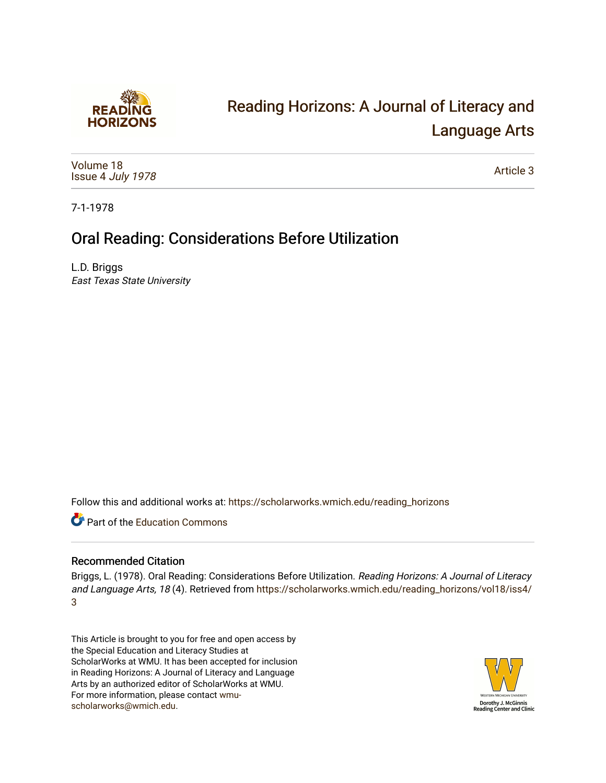

# [Reading Horizons: A Journal of Literacy and](https://scholarworks.wmich.edu/reading_horizons)  [Language Arts](https://scholarworks.wmich.edu/reading_horizons)

[Volume 18](https://scholarworks.wmich.edu/reading_horizons/vol18) Issue 4 [July 1978](https://scholarworks.wmich.edu/reading_horizons/vol18/iss4)

[Article 3](https://scholarworks.wmich.edu/reading_horizons/vol18/iss4/3) 

7-1-1978

## Oral Reading: Considerations Before Utilization

L.D. Briggs East Texas State University

Follow this and additional works at: [https://scholarworks.wmich.edu/reading\\_horizons](https://scholarworks.wmich.edu/reading_horizons?utm_source=scholarworks.wmich.edu%2Freading_horizons%2Fvol18%2Fiss4%2F3&utm_medium=PDF&utm_campaign=PDFCoverPages)

**C** Part of the [Education Commons](http://network.bepress.com/hgg/discipline/784?utm_source=scholarworks.wmich.edu%2Freading_horizons%2Fvol18%2Fiss4%2F3&utm_medium=PDF&utm_campaign=PDFCoverPages)

### Recommended Citation

Briggs, L. (1978). Oral Reading: Considerations Before Utilization. Reading Horizons: A Journal of Literacy and Language Arts, 18 (4). Retrieved from [https://scholarworks.wmich.edu/reading\\_horizons/vol18/iss4/](https://scholarworks.wmich.edu/reading_horizons/vol18/iss4/3?utm_source=scholarworks.wmich.edu%2Freading_horizons%2Fvol18%2Fiss4%2F3&utm_medium=PDF&utm_campaign=PDFCoverPages) [3](https://scholarworks.wmich.edu/reading_horizons/vol18/iss4/3?utm_source=scholarworks.wmich.edu%2Freading_horizons%2Fvol18%2Fiss4%2F3&utm_medium=PDF&utm_campaign=PDFCoverPages) 

This Article is brought to you for free and open access by the Special Education and Literacy Studies at ScholarWorks at WMU. It has been accepted for inclusion in Reading Horizons: A Journal of Literacy and Language Arts by an authorized editor of ScholarWorks at WMU. For more information, please contact [wmu](mailto:wmu-scholarworks@wmich.edu)[scholarworks@wmich.edu.](mailto:wmu-scholarworks@wmich.edu)

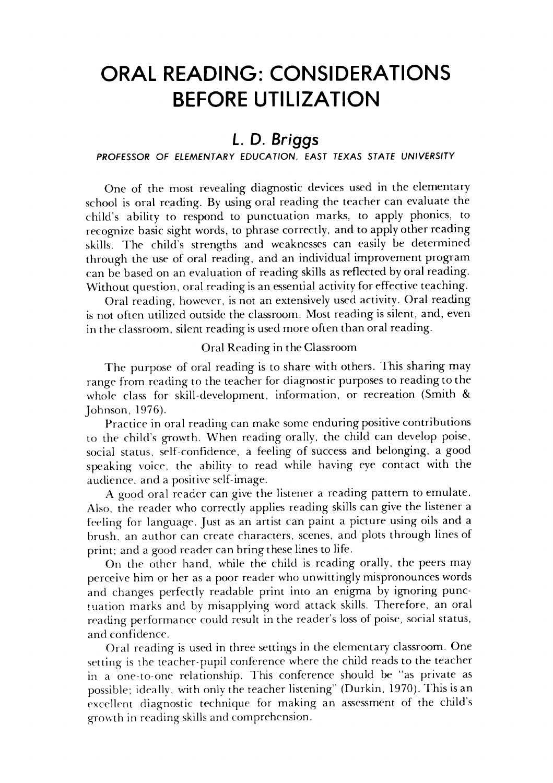### *ORAL READING: CONSIDERATIONS* **ORAL READING: CONSIDERATIONS BEFORE UTILIZATION**

### *L. D. Briggs* **L. D. Briggs**

#### *PROFESSOR OF ELEMENTARY EDUCATION, EAST TEXAS STATE UNIVERSITY PROFESSOR* OF *ELEMENTARY EDUCATION, EAST TEXAS STATE UNIVERSITY*

One of the most revealing diagnostic devices used in the elementary One of the most revealing diagnostic devices used in the elementary school is oral reading. By using oral reading the teacher can evaluate the school is oral reading. By using oral reading the teacher can evaluate the child's ability to respond to punctuation marks, to apply phonics, to child's ability to respond to punctuation marks, to apply phonics, to recognize basic sight words, to phrase correctly, and to apply otherreading recognize basic sight words, to phrase correctly, and to apply other reading skills. The child's strengths and weaknesses can easily be determined skills. The child's strengths and weaknesses can easily be determined through the use of oral reading, and an individual improvement program through the use of oral reading, and an individual improvement program can be based on an evaluation of reading skills as reflected by oral reading. Without question, oral reading is an essential activity for effective teaching.

Oral reading, however, is not an extensively used activity. Oral reading Oral reading, however, is not an extensively used activity. Oral reading is not often utilized outside the classroom. Most reading is silent, and, even is not often utilized outside the classroom. Most reading is silent, and, even in the classroom, silent reading is used more often than oral reading. in the classroom, silent reading is used more often than oral reading.

#### Oral Reading in the Classroom Oral Reading in the Classroom

The purpose of oral reading is to share with others. This sharing may The purpose of oral reading is to share with others. This sharing may range from reading to the teacher for diagnostic purposes to readingto the range from reading to the teacher for diagnostic purposes to reading to the whole class for skill-development, information, or recreation (Smith & whole class for skill-development, information, or recreation (Smith & Johnson, 1976). Johnson, 1976).

Practice in oral reading can make some enduring positive contributions Practice in oral reading can make some enduring positive contributions to the child's growth. When reading orally, the child can develop poise, to the child's growth. When reading orally. the child can develop poise, social status, self-confidence, a feeling of success and belonging, a good social status, self-confidence, a feeling of success and belonging, a good speaking voice, the ability to read while having eye contact with the speaking voice, the ability to read while having eye contact with the audience, and a positive self-image. audience. and a positive self-image.

A good oral reader can give the listener a reading pattern to emulate. A good oral reader can give the listener a reading pattern to emulate.<br>Also, the reader who correctly applies reading skills can give the listener a feeling for language. Just as an artist can paint a picture using oils and a feeling for language. Just as an artist can paint a picture using oils and a brush, an author can create characters, scenes, and plots through lines of brush. an author can create characters, scenes, and plots through lines of print; and a good reader can bring theselinesto life. print; and a good reader can bring these lines to life.

On the other hand, while the child is reading orally, the peers may On the other hand, while the child is reading orally, the peers may perceive him or her as a poor reader who unwittingly mispronounces words perceive him or her as a poor reader who unwittingly mispronounces words and changes perfectly readable print into an enigma by ignoring punc and changes perfectly readable print into an enigma by ignoring punctuation marks and by misapplying word attack skills. Therefore, an oral tuation marks and by misapplying word attack skills. Therefore, an oral reading performance could result in the reader's loss of poise, social status, and confidence. and confidence.

Oral reading is used in three settings in the elementary classroom. One Oral reading is used in three settings in the elementary classroom. One setting is the teacher-pupil conference where the child reads to the teacher setting is the teacher-pupil conference where the child reads to the teacher in a one-to-one relationship. This conference should be "as private as in a one-to-one relationship. This conference should be "as private as possible; ideally, with only the teacher listening" (Durkin, 1970). This is an excellent diagnostic technique for making an assessment of the child's excellent diagnostic technique for making an assessment of the child's growth in reading skillsand comprehension. growth in reading skills and comprehension.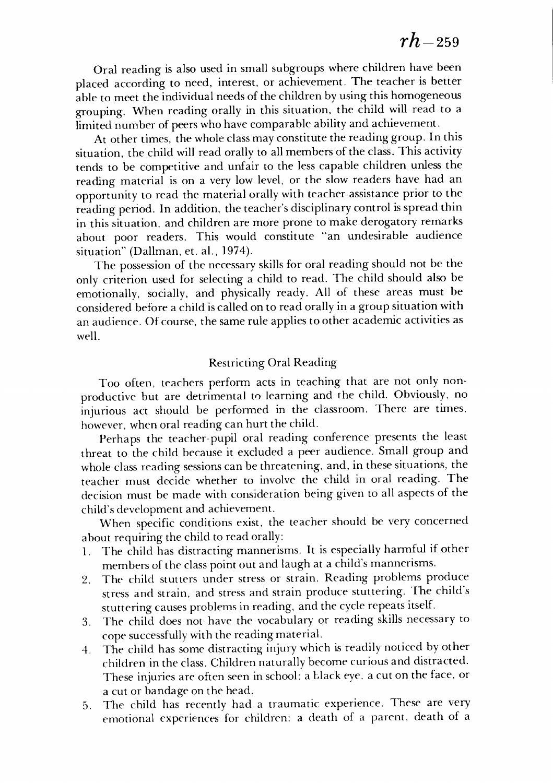### $\emph{rh}$ —259  $\emph{ }$

Oral reading is also used in small subgroups where children have been placed according to need, interest, or achievement. The teacher is better placed according to need, interest, or achievement. The teacher is better able to meet the individual needs of the children by using this homogeneous able to meet the individual needs of the children by using this homogeneous grouping. When reading orally in this situation, the child will read to a grouping. When reading orally in this situation, the child will read to a limited number of peerswhohave comparable ability and achievement. limited number of peers who have comparable ability and achievement.

At other times, the wholeclassmay constitute the reading group. In this At other times, the whole class may constitute the reading group. In this situation, the child will read orally to all members of the class. This activity situation, the child will read orally to all members of the class. This activity tends to be competitive and unfair to the less capable children unless the tends to be competitive and unfair to the less capable children unless the reading material is on a very low level, or the slow readers have had an reading material is on a very low level, or the slow readers have had an opportunity to read the material orally with teacher assistance prior to the opportunity to read the material orally with teacher assistance prior to the reading period. In addition, the teacher's disciplinary control is spreadthin reading period. In addition, the teacher's disciplinary control is spread thin in this situation, and children are more prone to make derogatory remarks in this situation, and children are more prone to make derogatory remarks about poor readers. This would constitute "an undesirable audience about poor readers. This would constitute "an undesirable audience situation" (Dallman, et. al., 1974). situation" (Dallman, et. aI., 1974).

The possession of the necessary skills for oral reading should not be the The possession of the necessary skills for oral reading should not be the only criterion used for selecting a child to read. The child should also be only criterion used for selecting a child to read. The child should also be emotionally, socially, and physically ready. All of these areas must be emotionally, socially, and physically ready. All of these areas must be considered before a child iscalled on to read orally in a group situation with considered before a child is called on to read orally in a group situation with an audience. Of course, the same rule applies to other academic activities as well. well.

#### Restricting Oral Reading Restricting Oral Reading

Too often, teachers perform acts in teaching that are not only non Too often, teachers perform acts in teaching that are not only nonproductive but are detrimental to learning and the child. Obviously, no productive but are detrimental to learning and the child. Obviously, no injurious act should be performed in the classroom. There are times, injurious act should be performed in the classroom. There are times, however, when oral reading can hurt the child. however, when oral reading can the child.

Perhaps the teacher-pupil oral reading conference presents the least Perhaps the teacher-pupil oral reading conference presents the least threat to the child because it excluded a peer audience. Small group and threat to the child because it excluded a peer audience. Small group and whole class reading sessions can be threatening, and, in these situations, the whole class reading sessions can be threatening. and, in these situations, the teacher must decide whether to involve the child in oral reading. The teacher must decide whether to involve the child in oral reading. The decision must be made with consideration being given to all aspects of the decision must be made with consideration being given to all aspects of the child's development and achievement. child's development and achievement.

When specific conditions exist, the teacher should be very concerned When specific conditions exist, the teacher should be very concerned about requiring the child to read orally: about requiring the child to read orally:

- 1. The child has distracting mannerisms. It is especially harmful if other 1. The child has distracting mannerisms. It is especially harmful if other members of the class point out and laugh at a child's mannerisms.
- 2. The child stutters under stress or strain. Reading problems produce 2. The child stutters under stress or strain. Reading problems produce stress and strain, and stress and strain produce stuttering. The child's stress and strain, and stress and strain produce stuttering. The child's stuttering causes problems in reading, and the cycle repeats itself. stuttering causes problems in reading, and the cycle repeats itself.
- 3. The child does not have the vocabulary or reading skills necessary to 3. The child does not have the vocabulary or reading skills necessary to cope successfully with the reading material.
- 4. The child has some distracting injurywhich is readily noticed by other 4. The child has some distracting injury which is readily noticed by other children in the class. Children naturally become curious and distracted. children in the class. Children naturally become curious and distracted. These injuries are oftenseen inschool: a black eye. a cut on the face, or These injuries are often seen in school: a tlack eye. a cut on the face, or a cut or bandage on the head. a cut or bandage on the head.
- 5. The child has recently had a traumatic experience. These are very 5. The child has recently had a traumatic experience. These are very emotional experiences for children: a death of a parent, death of a emotional experiences for children: a death of a parent, death of a